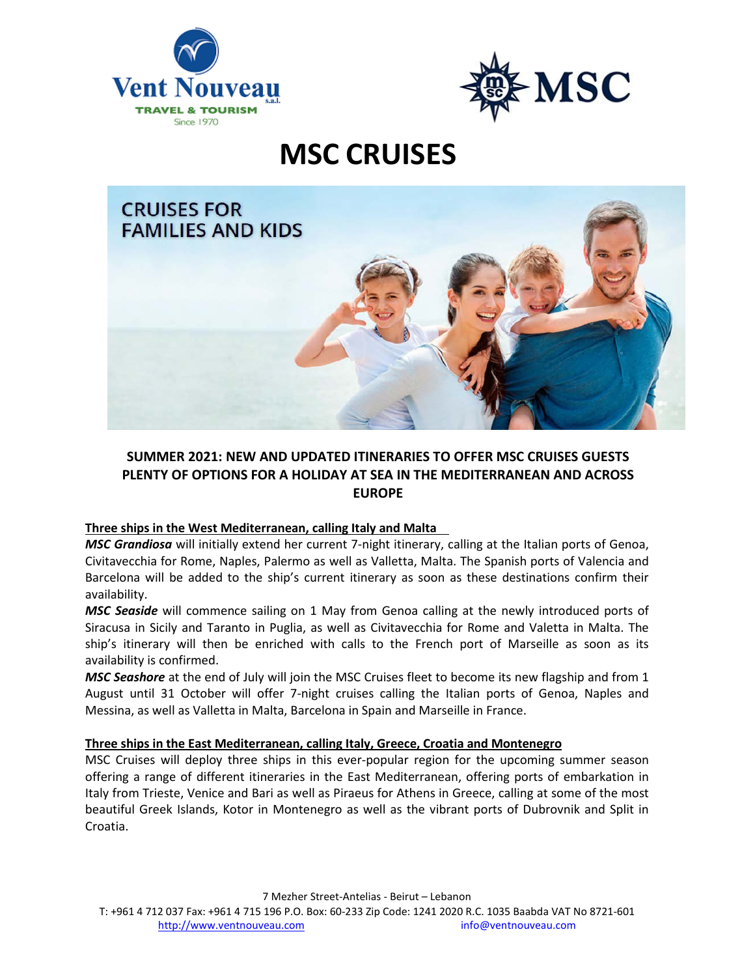



# **MSC CRUISES**



# **SUMMER 2021: NEW AND UPDATED ITINERARIES TO OFFER MSC CRUISES GUESTS PLENTY OF OPTIONS FOR A HOLIDAY AT SEA IN THE MEDITERRANEAN AND ACROSS EUROPE**

# **Three ships in the West Mediterranean, calling Italy and Malta**

*MSC Grandiosa* will initially extend her current 7-night itinerary, calling at the Italian ports of Genoa, Civitavecchia for Rome, Naples, Palermo as well as Valletta, Malta. The Spanish ports of Valencia and Barcelona will be added to the ship's current itinerary as soon as these destinations confirm their availability.

*MSC Seaside* will commence sailing on 1 May from Genoa calling at the newly introduced ports of Siracusa in Sicily and Taranto in Puglia, as well as Civitavecchia for Rome and Valetta in Malta. The ship's itinerary will then be enriched with calls to the French port of Marseille as soon as its availability is confirmed.

*MSC Seashore* at the end of July will join the MSC Cruises fleet to become its new flagship and from 1 August until 31 October will offer 7-night cruises calling the Italian ports of Genoa, Naples and Messina, as well as Valletta in Malta, Barcelona in Spain and Marseille in France.

# **Three ships in the East Mediterranean, calling Italy, Greece, Croatia and Montenegro**

MSC Cruises will deploy three ships in this ever-popular region for the upcoming summer season offering a range of different itineraries in the East Mediterranean, offering ports of embarkation in Italy from Trieste, Venice and Bari as well as Piraeus for Athens in Greece, calling at some of the most beautiful Greek Islands, Kotor in Montenegro as well as the vibrant ports of Dubrovnik and Split in Croatia.

7 Mezher Street-Antelias - Beirut – Lebanon